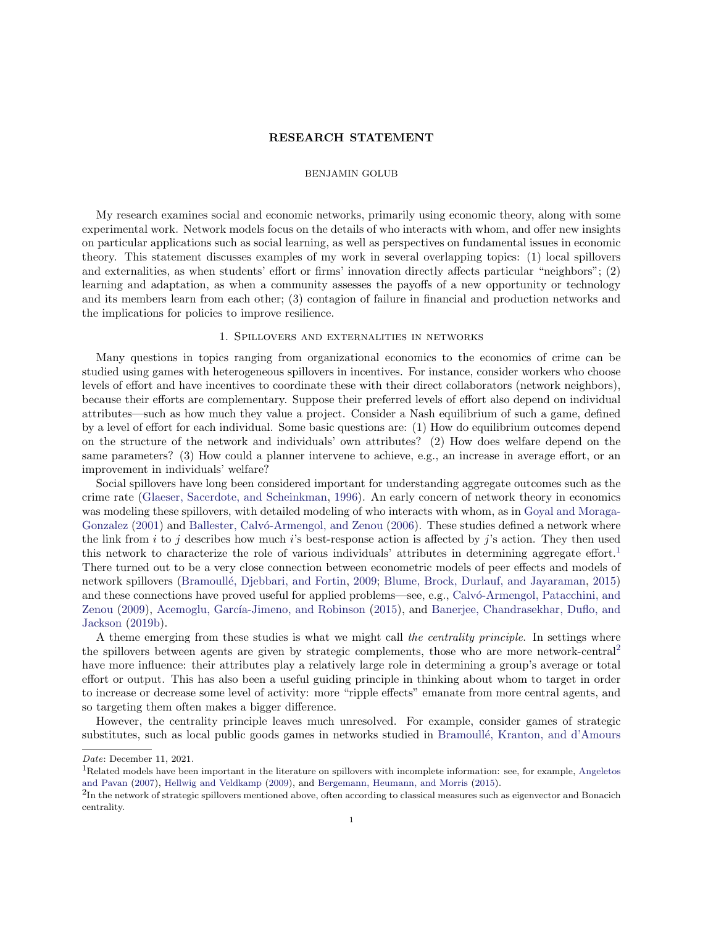# RESEARCH STATEMENT

# BENJAMIN GOLUB

My research examines social and economic networks, primarily using economic theory, along with some experimental work. Network models focus on the details of who interacts with whom, and offer new insights on particular applications such as social learning, as well as perspectives on fundamental issues in economic theory. This statement discusses examples of my work in several overlapping topics: (1) local spillovers and externalities, as when students' effort or firms' innovation directly affects particular "neighbors"; (2) learning and adaptation, as when a community assesses the payoffs of a new opportunity or technology and its members learn from each other; (3) contagion of failure in financial and production networks and the implications for policies to improve resilience.

## 1. Spillovers and externalities in networks

Many questions in topics ranging from organizational economics to the economics of crime can be studied using games with heterogeneous spillovers in incentives. For instance, consider workers who choose levels of effort and have incentives to coordinate these with their direct collaborators (network neighbors), because their efforts are complementary. Suppose their preferred levels of effort also depend on individual attributes—such as how much they value a project. Consider a Nash equilibrium of such a game, defined by a level of effort for each individual. Some basic questions are: (1) How do equilibrium outcomes depend on the structure of the network and individuals' own attributes? (2) How does welfare depend on the same parameters? (3) How could a planner intervene to achieve, e.g., an increase in average effort, or an improvement in individuals' welfare?

Social spillovers have long been considered important for understanding aggregate outcomes such as the crime rate [\(Glaeser, Sacerdote, and Scheinkman,](#page-9-0) [1996\)](#page-9-0). An early concern of network theory in economics was modeling these spillovers, with detailed modeling of who interacts with whom, as in [Goyal and Moraga-](#page-9-1)[Gonzalez](#page-9-1) [\(2001\)](#page-9-1) and Ballester, Calvó-Armengol, and Zenou [\(2006\)](#page-7-0). These studies defined a network where the link from i to j describes how much is best-response action is affected by j's action. They then used this network to characterize the role of various individuals' attributes in determining aggregate effort.<sup>[1](#page-0-0)</sup> There turned out to be a very close connection between econometric models of peer effects and models of network spillovers (Bramoullé, Djebbari, and Fortin, [2009;](#page-8-0) [Blume, Brock, Durlauf, and Jayaraman,](#page-8-1) [2015\)](#page-8-1) and these connections have proved useful for applied problems—see, e.g., Calvó-Armengol, Patacchini, and [Zenou](#page-8-2) [\(2009\)](#page-8-2), Acemoglu, García-Jimeno, and Robinson [\(2015\)](#page-7-1), and [Banerjee, Chandrasekhar, Duflo, and](#page-7-2) [Jackson](#page-7-2) [\(2019b\)](#page-7-2).

A theme emerging from these studies is what we might call the centrality principle. In settings where the spillovers between agents are given by strategic complements, those who are more network-central[2](#page-0-1) have more influence: their attributes play a relatively large role in determining a group's average or total effort or output. This has also been a useful guiding principle in thinking about whom to target in order to increase or decrease some level of activity: more "ripple effects" emanate from more central agents, and so targeting them often makes a bigger difference.

However, the centrality principle leaves much unresolved. For example, consider games of strategic substitutes, such as local public goods games in networks studied in Bramoullé, Kranton, and d'Amours

Date: December 11, 2021.

<span id="page-0-0"></span><sup>&</sup>lt;sup>1</sup>Related models have been important in the literature on spillovers with incomplete information: see, for example, [Angeletos](#page-7-3) [and Pavan](#page-7-3) [\(2007\)](#page-7-3), [Hellwig and Veldkamp](#page-9-2) [\(2009\)](#page-9-2), and [Bergemann, Heumann, and Morris](#page-8-4) [\(2015\)](#page-8-4).

<span id="page-0-1"></span> ${}^{2}$ In the network of strategic spillovers mentioned above, often according to classical measures such as eigenvector and Bonacich centrality.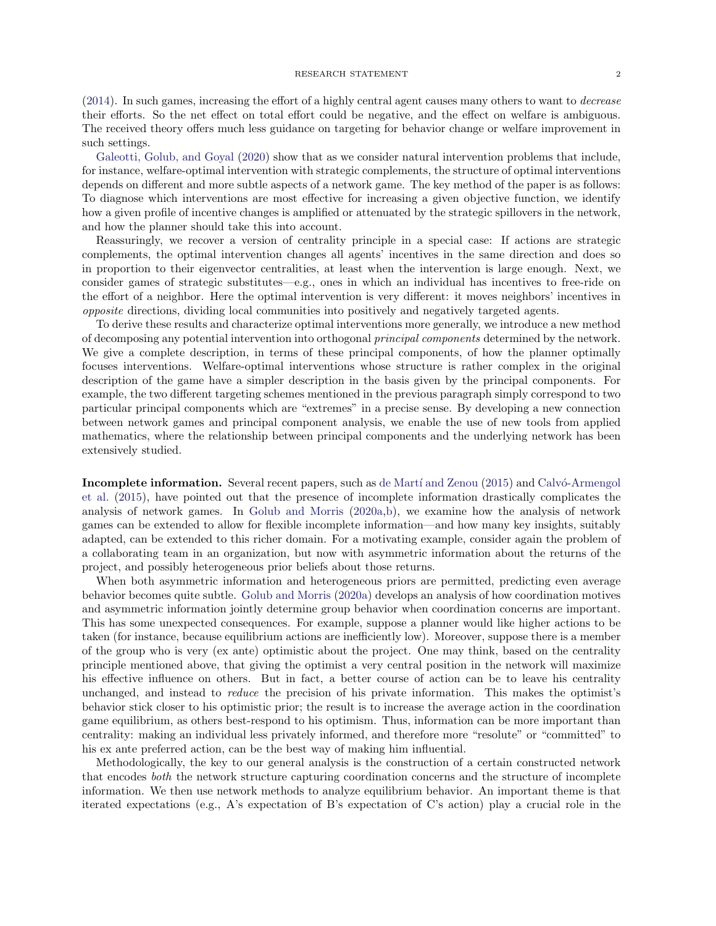[\(2014\)](#page-8-3). In such games, increasing the effort of a highly central agent causes many others to want to decrease their efforts. So the net effect on total effort could be negative, and the effect on welfare is ambiguous. The received theory offers much less guidance on targeting for behavior change or welfare improvement in such settings.

[Galeotti, Golub, and Goyal](#page-9-3) [\(2020\)](#page-9-3) show that as we consider natural intervention problems that include, for instance, welfare-optimal intervention with strategic complements, the structure of optimal interventions depends on different and more subtle aspects of a network game. The key method of the paper is as follows: To diagnose which interventions are most effective for increasing a given objective function, we identify how a given profile of incentive changes is amplified or attenuated by the strategic spillovers in the network, and how the planner should take this into account.

Reassuringly, we recover a version of centrality principle in a special case: If actions are strategic complements, the optimal intervention changes all agents' incentives in the same direction and does so in proportion to their eigenvector centralities, at least when the intervention is large enough. Next, we consider games of strategic substitutes—e.g., ones in which an individual has incentives to free-ride on the effort of a neighbor. Here the optimal intervention is very different: it moves neighbors' incentives in opposite directions, dividing local communities into positively and negatively targeted agents.

To derive these results and characterize optimal interventions more generally, we introduce a new method of decomposing any potential intervention into orthogonal principal components determined by the network. We give a complete description, in terms of these principal components, of how the planner optimally focuses interventions. Welfare-optimal interventions whose structure is rather complex in the original description of the game have a simpler description in the basis given by the principal components. For example, the two different targeting schemes mentioned in the previous paragraph simply correspond to two particular principal components which are "extremes" in a precise sense. By developing a new connection between network games and principal component analysis, we enable the use of new tools from applied mathematics, where the relationship between principal components and the underlying network has been extensively studied.

Incomplete information. Several recent papers, such as de Martí and Zenou [\(2015\)](#page-8-5) and Calvó-Armengol [et al.](#page-8-6) [\(2015\)](#page-8-6), have pointed out that the presence of incomplete information drastically complicates the analysis of network games. In [Golub and Morris](#page-9-4) [\(2020a](#page-9-4)[,b\)](#page-9-5), we examine how the analysis of network games can be extended to allow for flexible incomplete information—and how many key insights, suitably adapted, can be extended to this richer domain. For a motivating example, consider again the problem of a collaborating team in an organization, but now with asymmetric information about the returns of the project, and possibly heterogeneous prior beliefs about those returns.

When both asymmetric information and heterogeneous priors are permitted, predicting even average behavior becomes quite subtle. [Golub and Morris](#page-9-4) [\(2020a\)](#page-9-4) develops an analysis of how coordination motives and asymmetric information jointly determine group behavior when coordination concerns are important. This has some unexpected consequences. For example, suppose a planner would like higher actions to be taken (for instance, because equilibrium actions are inefficiently low). Moreover, suppose there is a member of the group who is very (ex ante) optimistic about the project. One may think, based on the centrality principle mentioned above, that giving the optimist a very central position in the network will maximize his effective influence on others. But in fact, a better course of action can be to leave his centrality unchanged, and instead to reduce the precision of his private information. This makes the optimist's behavior stick closer to his optimistic prior; the result is to increase the average action in the coordination game equilibrium, as others best-respond to his optimism. Thus, information can be more important than centrality: making an individual less privately informed, and therefore more "resolute" or "committed" to his ex ante preferred action, can be the best way of making him influential.

Methodologically, the key to our general analysis is the construction of a certain constructed network that encodes both the network structure capturing coordination concerns and the structure of incomplete information. We then use network methods to analyze equilibrium behavior. An important theme is that iterated expectations (e.g., A's expectation of B's expectation of C's action) play a crucial role in the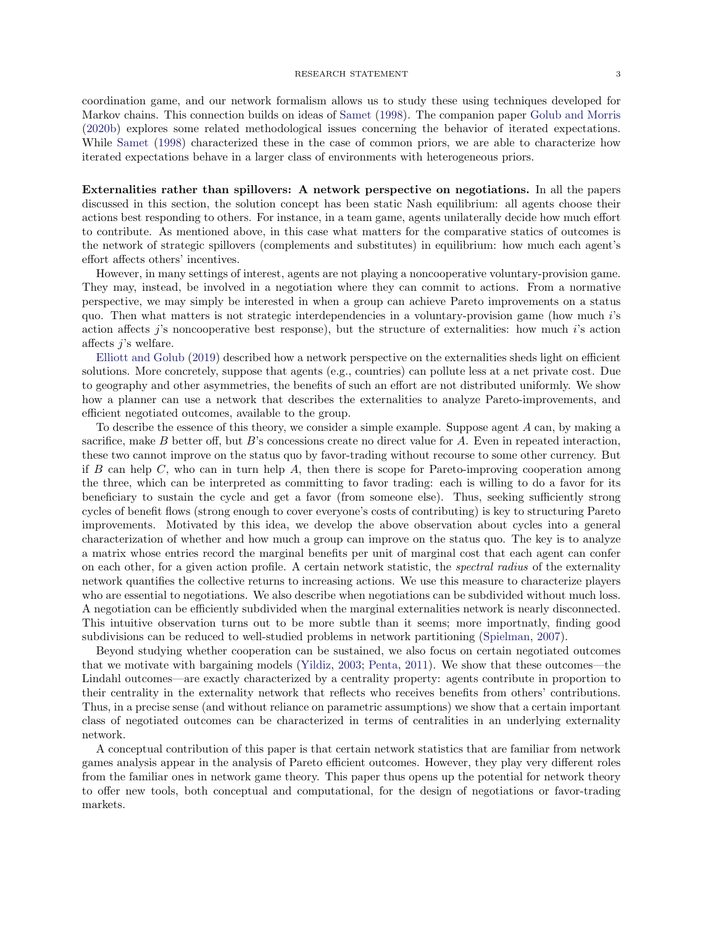coordination game, and our network formalism allows us to study these using techniques developed for Markov chains. This connection builds on ideas of [Samet](#page-10-0) [\(1998\)](#page-10-0). The companion paper [Golub and Morris](#page-9-5) [\(2020b\)](#page-9-5) explores some related methodological issues concerning the behavior of iterated expectations. While [Samet](#page-10-0) [\(1998\)](#page-10-0) characterized these in the case of common priors, we are able to characterize how iterated expectations behave in a larger class of environments with heterogeneous priors.

Externalities rather than spillovers: A network perspective on negotiations. In all the papers discussed in this section, the solution concept has been static Nash equilibrium: all agents choose their actions best responding to others. For instance, in a team game, agents unilaterally decide how much effort to contribute. As mentioned above, in this case what matters for the comparative statics of outcomes is the network of strategic spillovers (complements and substitutes) in equilibrium: how much each agent's effort affects others' incentives.

However, in many settings of interest, agents are not playing a noncooperative voluntary-provision game. They may, instead, be involved in a negotiation where they can commit to actions. From a normative perspective, we may simply be interested in when a group can achieve Pareto improvements on a status quo. Then what matters is not strategic interdependencies in a voluntary-provision game (how much i's action affects j's noncooperative best response), but the structure of externalities: how much i's action affects j's welfare.

[Elliott and Golub](#page-8-7) [\(2019\)](#page-8-7) described how a network perspective on the externalities sheds light on efficient solutions. More concretely, suppose that agents (e.g., countries) can pollute less at a net private cost. Due to geography and other asymmetries, the benefits of such an effort are not distributed uniformly. We show how a planner can use a network that describes the externalities to analyze Pareto-improvements, and efficient negotiated outcomes, available to the group.

To describe the essence of this theory, we consider a simple example. Suppose agent A can, by making a sacrifice, make B better off, but B's concessions create no direct value for A. Even in repeated interaction, these two cannot improve on the status quo by favor-trading without recourse to some other currency. But if B can help  $C$ , who can in turn help  $A$ , then there is scope for Pareto-improving cooperation among the three, which can be interpreted as committing to favor trading: each is willing to do a favor for its beneficiary to sustain the cycle and get a favor (from someone else). Thus, seeking sufficiently strong cycles of benefit flows (strong enough to cover everyone's costs of contributing) is key to structuring Pareto improvements. Motivated by this idea, we develop the above observation about cycles into a general characterization of whether and how much a group can improve on the status quo. The key is to analyze a matrix whose entries record the marginal benefits per unit of marginal cost that each agent can confer on each other, for a given action profile. A certain network statistic, the spectral radius of the externality network quantifies the collective returns to increasing actions. We use this measure to characterize players who are essential to negotiations. We also describe when negotiations can be subdivided without much loss. A negotiation can be efficiently subdivided when the marginal externalities network is nearly disconnected. This intuitive observation turns out to be more subtle than it seems; more importnatly, finding good subdivisions can be reduced to well-studied problems in network partitioning [\(Spielman,](#page-10-1) [2007\)](#page-10-1).

Beyond studying whether cooperation can be sustained, we also focus on certain negotiated outcomes that we motivate with bargaining models [\(Yildiz,](#page-10-2) [2003;](#page-10-2) [Penta,](#page-10-3) [2011\)](#page-10-3). We show that these outcomes—the Lindahl outcomes—are exactly characterized by a centrality property: agents contribute in proportion to their centrality in the externality network that reflects who receives benefits from others' contributions. Thus, in a precise sense (and without reliance on parametric assumptions) we show that a certain important class of negotiated outcomes can be characterized in terms of centralities in an underlying externality network.

A conceptual contribution of this paper is that certain network statistics that are familiar from network games analysis appear in the analysis of Pareto efficient outcomes. However, they play very different roles from the familiar ones in network game theory. This paper thus opens up the potential for network theory to offer new tools, both conceptual and computational, for the design of negotiations or favor-trading markets.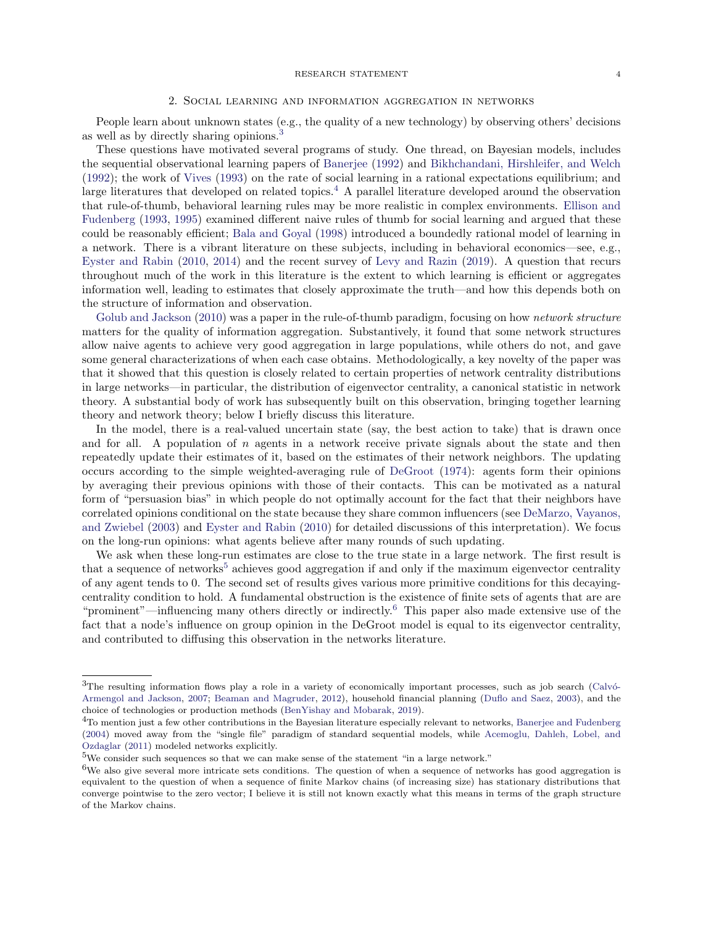### 2. Social learning and information aggregation in networks

People learn about unknown states (e.g., the quality of a new technology) by observing others' decisions as well as by directly sharing opinions.[3](#page-3-0)

These questions have motivated several programs of study. One thread, on Bayesian models, includes the sequential observational learning papers of [Banerjee](#page-7-4) [\(1992\)](#page-7-4) and [Bikhchandani, Hirshleifer, and Welch](#page-8-8) [\(1992\)](#page-8-8); the work of [Vives](#page-10-4) [\(1993\)](#page-10-4) on the rate of social learning in a rational expectations equilibrium; and large literatures that developed on related topics.<sup>[4](#page-3-1)</sup> A parallel literature developed around the observation that rule-of-thumb, behavioral learning rules may be more realistic in complex environments. [Ellison and](#page-9-6) [Fudenberg](#page-9-6) [\(1993,](#page-9-6) [1995\)](#page-9-7) examined different naive rules of thumb for social learning and argued that these could be reasonably efficient; [Bala and Goyal](#page-7-5) [\(1998\)](#page-7-5) introduced a boundedly rational model of learning in a network. There is a vibrant literature on these subjects, including in behavioral economics—see, e.g., [Eyster and Rabin](#page-9-8) [\(2010,](#page-9-8) [2014\)](#page-9-9) and the recent survey of [Levy and Razin](#page-9-10) [\(2019\)](#page-9-10). A question that recurs throughout much of the work in this literature is the extent to which learning is efficient or aggregates information well, leading to estimates that closely approximate the truth—and how this depends both on the structure of information and observation.

[Golub and Jackson](#page-9-11) [\(2010\)](#page-9-11) was a paper in the rule-of-thumb paradigm, focusing on how *network structure* matters for the quality of information aggregation. Substantively, it found that some network structures allow naive agents to achieve very good aggregation in large populations, while others do not, and gave some general characterizations of when each case obtains. Methodologically, a key novelty of the paper was that it showed that this question is closely related to certain properties of network centrality distributions in large networks—in particular, the distribution of eigenvector centrality, a canonical statistic in network theory. A substantial body of work has subsequently built on this observation, bringing together learning theory and network theory; below I briefly discuss this literature.

In the model, there is a real-valued uncertain state (say, the best action to take) that is drawn once and for all. A population of  $n$  agents in a network receive private signals about the state and then repeatedly update their estimates of it, based on the estimates of their network neighbors. The updating occurs according to the simple weighted-averaging rule of [DeGroot](#page-8-9) [\(1974\)](#page-8-9): agents form their opinions by averaging their previous opinions with those of their contacts. This can be motivated as a natural form of "persuasion bias" in which people do not optimally account for the fact that their neighbors have correlated opinions conditional on the state because they share common influencers (see [DeMarzo, Vayanos,](#page-8-10) [and Zwiebel](#page-8-10) [\(2003\)](#page-8-10) and [Eyster and Rabin](#page-9-8) [\(2010\)](#page-9-8) for detailed discussions of this interpretation). We focus on the long-run opinions: what agents believe after many rounds of such updating.

We ask when these long-run estimates are close to the true state in a large network. The first result is that a sequence of networks<sup>[5](#page-3-2)</sup> achieves good aggregation if and only if the maximum eigenvector centrality of any agent tends to 0. The second set of results gives various more primitive conditions for this decayingcentrality condition to hold. A fundamental obstruction is the existence of finite sets of agents that are are "prominent"—influencing many others directly or indirectly.[6](#page-3-3) This paper also made extensive use of the fact that a node's influence on group opinion in the DeGroot model is equal to its eigenvector centrality, and contributed to diffusing this observation in the networks literature.

<span id="page-3-0"></span> $3$ The resulting information flows play a role in a variety of economically important processes, such as job search (Calvó-[Armengol and Jackson,](#page-8-11) [2007;](#page-8-11) [Beaman and Magruder,](#page-8-12) [2012\)](#page-8-12), household financial planning [\(Duflo and Saez,](#page-8-13) [2003\)](#page-8-13), and the choice of technologies or production methods [\(BenYishay and Mobarak,](#page-8-14) [2019\)](#page-8-14).

<span id="page-3-1"></span><sup>4</sup>To mention just a few other contributions in the Bayesian literature especially relevant to networks, [Banerjee and Fudenberg](#page-7-6) [\(2004\)](#page-7-6) moved away from the "single file" paradigm of standard sequential models, while [Acemoglu, Dahleh, Lobel, and](#page-7-7) [Ozdaglar](#page-7-7) [\(2011\)](#page-7-7) modeled networks explicitly.

<span id="page-3-2"></span><sup>5</sup>We consider such sequences so that we can make sense of the statement "in a large network."

<span id="page-3-3"></span><sup>6</sup>We also give several more intricate sets conditions. The question of when a sequence of networks has good aggregation is equivalent to the question of when a sequence of finite Markov chains (of increasing size) has stationary distributions that converge pointwise to the zero vector; I believe it is still not known exactly what this means in terms of the graph structure of the Markov chains.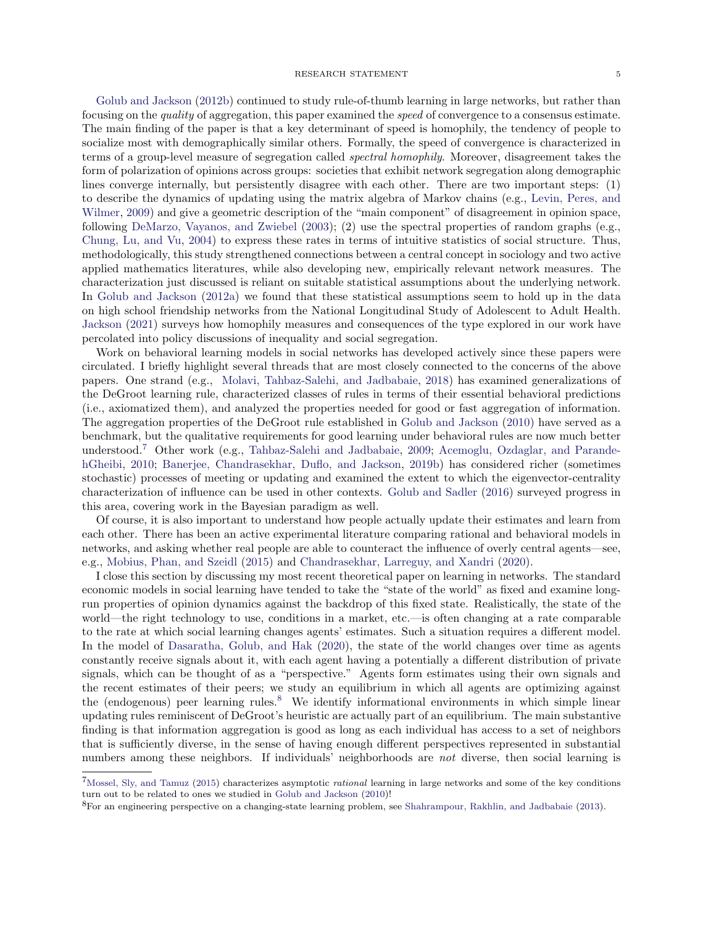#### RESEARCH STATEMENT 55

[Golub and Jackson](#page-9-12) [\(2012b\)](#page-9-12) continued to study rule-of-thumb learning in large networks, but rather than focusing on the quality of aggregation, this paper examined the speed of convergence to a consensus estimate. The main finding of the paper is that a key determinant of speed is homophily, the tendency of people to socialize most with demographically similar others. Formally, the speed of convergence is characterized in terms of a group-level measure of segregation called spectral homophily. Moreover, disagreement takes the form of polarization of opinions across groups: societies that exhibit network segregation along demographic lines converge internally, but persistently disagree with each other. There are two important steps: (1) to describe the dynamics of updating using the matrix algebra of Markov chains (e.g., [Levin, Peres, and](#page-9-13) [Wilmer,](#page-9-13) [2009\)](#page-9-13) and give a geometric description of the "main component" of disagreement in opinion space, following [DeMarzo, Vayanos, and Zwiebel](#page-8-10) [\(2003\)](#page-8-10); (2) use the spectral properties of random graphs (e.g., [Chung, Lu, and Vu,](#page-8-15) [2004\)](#page-8-15) to express these rates in terms of intuitive statistics of social structure. Thus, methodologically, this study strengthened connections between a central concept in sociology and two active applied mathematics literatures, while also developing new, empirically relevant network measures. The characterization just discussed is reliant on suitable statistical assumptions about the underlying network. In [Golub and Jackson](#page-9-14) [\(2012a\)](#page-9-14) we found that these statistical assumptions seem to hold up in the data on high school friendship networks from the National Longitudinal Study of Adolescent to Adult Health. [Jackson](#page-9-15) [\(2021\)](#page-9-15) surveys how homophily measures and consequences of the type explored in our work have percolated into policy discussions of inequality and social segregation.

Work on behavioral learning models in social networks has developed actively since these papers were circulated. I briefly highlight several threads that are most closely connected to the concerns of the above papers. One strand (e.g., [Molavi, Tahbaz-Salehi, and Jadbabaie,](#page-10-5) [2018\)](#page-10-5) has examined generalizations of the DeGroot learning rule, characterized classes of rules in terms of their essential behavioral predictions (i.e., axiomatized them), and analyzed the properties needed for good or fast aggregation of information. The aggregation properties of the DeGroot rule established in [Golub and Jackson](#page-9-11) [\(2010\)](#page-9-11) have served as a benchmark, but the qualitative requirements for good learning under behavioral rules are now much better understood.[7](#page-4-0) Other work (e.g., [Tahbaz-Salehi and Jadbabaie,](#page-10-6) [2009;](#page-10-6) [Acemoglu, Ozdaglar, and Parande](#page-7-8)[hGheibi,](#page-7-8) [2010;](#page-7-8) [Banerjee, Chandrasekhar, Duflo, and Jackson,](#page-7-2) [2019b\)](#page-7-2) has considered richer (sometimes stochastic) processes of meeting or updating and examined the extent to which the eigenvector-centrality characterization of influence can be used in other contexts. [Golub and Sadler](#page-9-16) [\(2016\)](#page-9-16) surveyed progress in this area, covering work in the Bayesian paradigm as well.

Of course, it is also important to understand how people actually update their estimates and learn from each other. There has been an active experimental literature comparing rational and behavioral models in networks, and asking whether real people are able to counteract the influence of overly central agents—see, e.g., [Mobius, Phan, and Szeidl](#page-9-17) [\(2015\)](#page-9-17) and [Chandrasekhar, Larreguy, and Xandri](#page-8-16) [\(2020\)](#page-8-16).

I close this section by discussing my most recent theoretical paper on learning in networks. The standard economic models in social learning have tended to take the "state of the world" as fixed and examine longrun properties of opinion dynamics against the backdrop of this fixed state. Realistically, the state of the world—the right technology to use, conditions in a market, etc.—is often changing at a rate comparable to the rate at which social learning changes agents' estimates. Such a situation requires a different model. In the model of [Dasaratha, Golub, and Hak](#page-8-17) [\(2020\)](#page-8-17), the state of the world changes over time as agents constantly receive signals about it, with each agent having a potentially a different distribution of private signals, which can be thought of as a "perspective." Agents form estimates using their own signals and the recent estimates of their peers; we study an equilibrium in which all agents are optimizing against the (endogenous) peer learning rules.[8](#page-4-1) We identify informational environments in which simple linear updating rules reminiscent of DeGroot's heuristic are actually part of an equilibrium. The main substantive finding is that information aggregation is good as long as each individual has access to a set of neighbors that is sufficiently diverse, in the sense of having enough different perspectives represented in substantial numbers among these neighbors. If individuals' neighborhoods are not diverse, then social learning is

<span id="page-4-0"></span><sup>7</sup>[Mossel, Sly, and Tamuz](#page-10-7) [\(2015\)](#page-10-7) characterizes asymptotic rational learning in large networks and some of the key conditions turn out to be related to ones we studied in [Golub and Jackson](#page-9-11) [\(2010\)](#page-9-11)!

<span id="page-4-1"></span><sup>8</sup>For an engineering perspective on a changing-state learning problem, see [Shahrampour, Rakhlin, and Jadbabaie](#page-10-8) [\(2013\)](#page-10-8).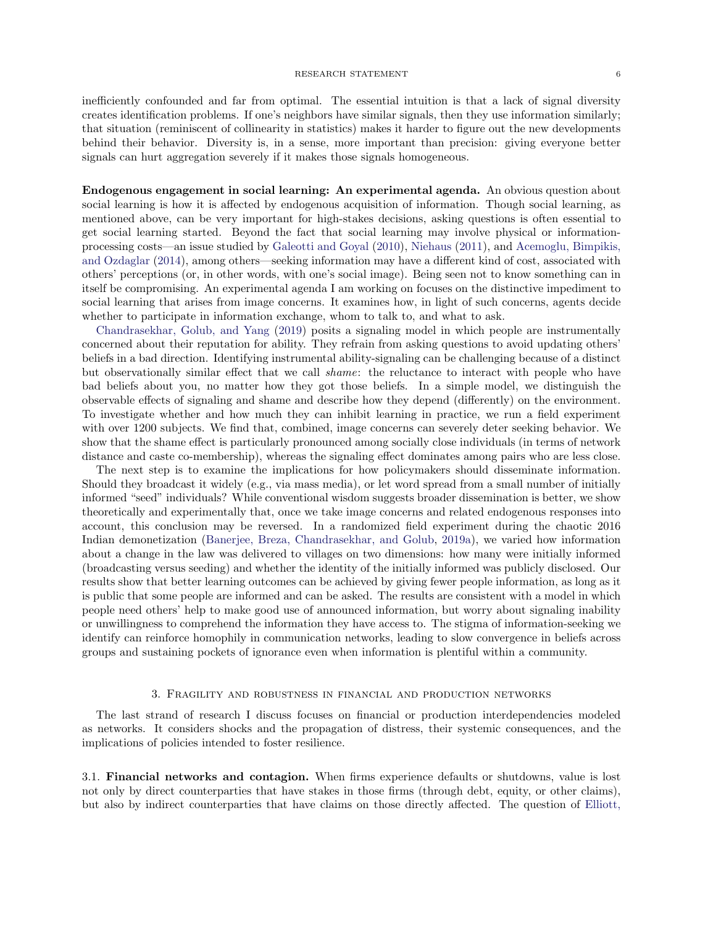inefficiently confounded and far from optimal. The essential intuition is that a lack of signal diversity creates identification problems. If one's neighbors have similar signals, then they use information similarly; that situation (reminiscent of collinearity in statistics) makes it harder to figure out the new developments behind their behavior. Diversity is, in a sense, more important than precision: giving everyone better signals can hurt aggregation severely if it makes those signals homogeneous.

Endogenous engagement in social learning: An experimental agenda. An obvious question about social learning is how it is affected by endogenous acquisition of information. Though social learning, as mentioned above, can be very important for high-stakes decisions, asking questions is often essential to get social learning started. Beyond the fact that social learning may involve physical or informationprocessing costs—an issue studied by [Galeotti and Goyal](#page-9-18) [\(2010\)](#page-9-18), [Niehaus](#page-10-9) [\(2011\)](#page-10-9), and [Acemoglu, Bimpikis,](#page-7-9) [and Ozdaglar](#page-7-9) [\(2014\)](#page-7-9), among others—seeking information may have a different kind of cost, associated with others' perceptions (or, in other words, with one's social image). Being seen not to know something can in itself be compromising. An experimental agenda I am working on focuses on the distinctive impediment to social learning that arises from image concerns. It examines how, in light of such concerns, agents decide whether to participate in information exchange, whom to talk to, and what to ask.

[Chandrasekhar, Golub, and Yang](#page-8-18) [\(2019\)](#page-8-18) posits a signaling model in which people are instrumentally concerned about their reputation for ability. They refrain from asking questions to avoid updating others' beliefs in a bad direction. Identifying instrumental ability-signaling can be challenging because of a distinct but observationally similar effect that we call shame: the reluctance to interact with people who have bad beliefs about you, no matter how they got those beliefs. In a simple model, we distinguish the observable effects of signaling and shame and describe how they depend (differently) on the environment. To investigate whether and how much they can inhibit learning in practice, we run a field experiment with over 1200 subjects. We find that, combined, image concerns can severely deter seeking behavior. We show that the shame effect is particularly pronounced among socially close individuals (in terms of network distance and caste co-membership), whereas the signaling effect dominates among pairs who are less close.

The next step is to examine the implications for how policymakers should disseminate information. Should they broadcast it widely (e.g., via mass media), or let word spread from a small number of initially informed "seed" individuals? While conventional wisdom suggests broader dissemination is better, we show theoretically and experimentally that, once we take image concerns and related endogenous responses into account, this conclusion may be reversed. In a randomized field experiment during the chaotic 2016 Indian demonetization [\(Banerjee, Breza, Chandrasekhar, and Golub,](#page-7-10) [2019a\)](#page-7-10), we varied how information about a change in the law was delivered to villages on two dimensions: how many were initially informed (broadcasting versus seeding) and whether the identity of the initially informed was publicly disclosed. Our results show that better learning outcomes can be achieved by giving fewer people information, as long as it is public that some people are informed and can be asked. The results are consistent with a model in which people need others' help to make good use of announced information, but worry about signaling inability or unwillingness to comprehend the information they have access to. The stigma of information-seeking we identify can reinforce homophily in communication networks, leading to slow convergence in beliefs across groups and sustaining pockets of ignorance even when information is plentiful within a community.

### 3. Fragility and robustness in financial and production networks

The last strand of research I discuss focuses on financial or production interdependencies modeled as networks. It considers shocks and the propagation of distress, their systemic consequences, and the implications of policies intended to foster resilience.

3.1. Financial networks and contagion. When firms experience defaults or shutdowns, value is lost not only by direct counterparties that have stakes in those firms (through debt, equity, or other claims), but also by indirect counterparties that have claims on those directly affected. The question of [Elliott,](#page-9-19)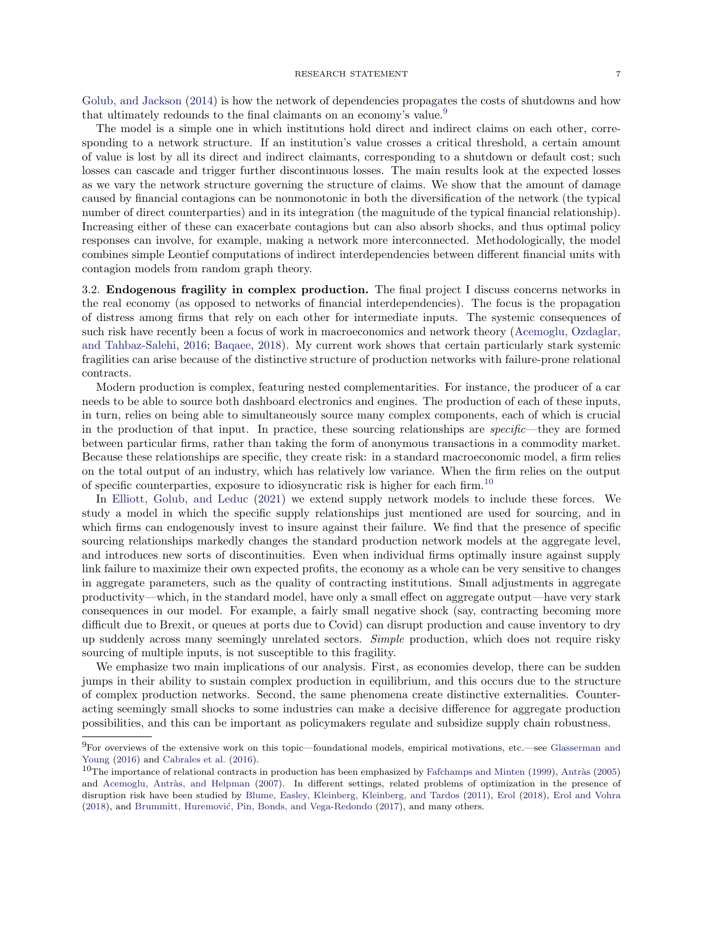[Golub, and Jackson](#page-9-19) [\(2014\)](#page-9-19) is how the network of dependencies propagates the costs of shutdowns and how that ultimately redounds to the final claimants on an economy's value.[9](#page-6-0)

The model is a simple one in which institutions hold direct and indirect claims on each other, corresponding to a network structure. If an institution's value crosses a critical threshold, a certain amount of value is lost by all its direct and indirect claimants, corresponding to a shutdown or default cost; such losses can cascade and trigger further discontinuous losses. The main results look at the expected losses as we vary the network structure governing the structure of claims. We show that the amount of damage caused by financial contagions can be nonmonotonic in both the diversification of the network (the typical number of direct counterparties) and in its integration (the magnitude of the typical financial relationship). Increasing either of these can exacerbate contagions but can also absorb shocks, and thus optimal policy responses can involve, for example, making a network more interconnected. Methodologically, the model combines simple Leontief computations of indirect interdependencies between different financial units with contagion models from random graph theory.

3.2. Endogenous fragility in complex production. The final project I discuss concerns networks in the real economy (as opposed to networks of financial interdependencies). The focus is the propagation of distress among firms that rely on each other for intermediate inputs. The systemic consequences of such risk have recently been a focus of work in macroeconomics and network theory [\(Acemoglu, Ozdaglar,](#page-7-11) [and Tahbaz-Salehi,](#page-7-11) [2016;](#page-7-11) [Baqaee,](#page-7-12) [2018\)](#page-7-12). My current work shows that certain particularly stark systemic fragilities can arise because of the distinctive structure of production networks with failure-prone relational contracts.

Modern production is complex, featuring nested complementarities. For instance, the producer of a car needs to be able to source both dashboard electronics and engines. The production of each of these inputs, in turn, relies on being able to simultaneously source many complex components, each of which is crucial in the production of that input. In practice, these sourcing relationships are specific—they are formed between particular firms, rather than taking the form of anonymous transactions in a commodity market. Because these relationships are specific, they create risk: in a standard macroeconomic model, a firm relies on the total output of an industry, which has relatively low variance. When the firm relies on the output of specific counterparties, exposure to idiosyncratic risk is higher for each firm.[10](#page-6-1)

In [Elliott, Golub, and Leduc](#page-9-20) [\(2021\)](#page-9-20) we extend supply network models to include these forces. We study a model in which the specific supply relationships just mentioned are used for sourcing, and in which firms can endogenously invest to insure against their failure. We find that the presence of specific sourcing relationships markedly changes the standard production network models at the aggregate level, and introduces new sorts of discontinuities. Even when individual firms optimally insure against supply link failure to maximize their own expected profits, the economy as a whole can be very sensitive to changes in aggregate parameters, such as the quality of contracting institutions. Small adjustments in aggregate productivity—which, in the standard model, have only a small effect on aggregate output—have very stark consequences in our model. For example, a fairly small negative shock (say, contracting becoming more difficult due to Brexit, or queues at ports due to Covid) can disrupt production and cause inventory to dry up suddenly across many seemingly unrelated sectors. Simple production, which does not require risky sourcing of multiple inputs, is not susceptible to this fragility.

We emphasize two main implications of our analysis. First, as economies develop, there can be sudden jumps in their ability to sustain complex production in equilibrium, and this occurs due to the structure of complex production networks. Second, the same phenomena create distinctive externalities. Counteracting seemingly small shocks to some industries can make a decisive difference for aggregate production possibilities, and this can be important as policymakers regulate and subsidize supply chain robustness.

<span id="page-6-0"></span><sup>9</sup>For overviews of the extensive work on this topic—foundational models, empirical motivations, etc.—see [Glasserman and](#page-9-21) [Young](#page-9-21) [\(2016\)](#page-9-21) and [Cabrales et al.](#page-8-19) [\(2016\)](#page-8-19).

<span id="page-6-1"></span> $10$ The importance of relational contracts in production has been emphasized by [Fafchamps and Minten](#page-9-22) [\(1999\)](#page-9-22), Antràs [\(2005\)](#page-7-13) and Acemoglu, Antràs, and Helpman [\(2007\)](#page-7-14). In different settings, related problems of optimization in the presence of disruption risk have been studied by [Blume, Easley, Kleinberg, Kleinberg, and Tardos](#page-8-20) [\(2011\)](#page-8-20), [Erol](#page-9-23) [\(2018\)](#page-9-23), [Erol and Vohra](#page-9-24) [\(2018\)](#page-9-24), and Brummitt, Huremović, Pin, Bonds, and Vega-Redondo [\(2017\)](#page-8-21), and many others.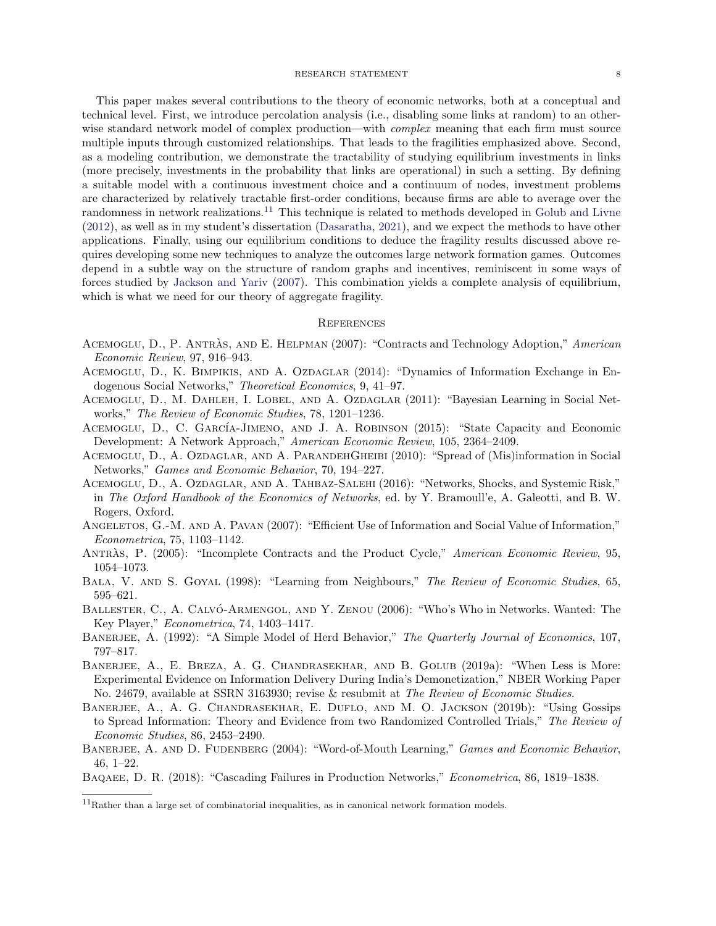### RESEARCH STATEMENT 88

This paper makes several contributions to the theory of economic networks, both at a conceptual and technical level. First, we introduce percolation analysis (i.e., disabling some links at random) to an otherwise standard network model of complex production—with *complex* meaning that each firm must source multiple inputs through customized relationships. That leads to the fragilities emphasized above. Second, as a modeling contribution, we demonstrate the tractability of studying equilibrium investments in links (more precisely, investments in the probability that links are operational) in such a setting. By defining a suitable model with a continuous investment choice and a continuum of nodes, investment problems are characterized by relatively tractable first-order conditions, because firms are able to average over the randomness in network realizations.<sup>[11](#page-7-15)</sup> This technique is related to methods developed in [Golub and Livne](#page-9-25) [\(2012\)](#page-9-25), as well as in my student's dissertation [\(Dasaratha,](#page-8-22) [2021\)](#page-8-22), and we expect the methods to have other applications. Finally, using our equilibrium conditions to deduce the fragility results discussed above requires developing some new techniques to analyze the outcomes large network formation games. Outcomes depend in a subtle way on the structure of random graphs and incentives, reminiscent in some ways of forces studied by [Jackson and Yariv](#page-9-26) [\(2007\)](#page-9-26). This combination yields a complete analysis of equilibrium, which is what we need for our theory of aggregate fragility.

# **REFERENCES**

- <span id="page-7-14"></span>ACEMOGLU, D., P. ANTRAS, AND E. HELPMAN (2007): "Contracts and Technology Adoption," American Economic Review, 97, 916–943.
- <span id="page-7-9"></span>ACEMOGLU, D., K. BIMPIKIS, AND A. OZDAGLAR (2014): "Dynamics of Information Exchange in Endogenous Social Networks," Theoretical Economics, 9, 41–97.
- <span id="page-7-7"></span>Acemoglu, D., M. Dahleh, I. Lobel, and A. Ozdaglar (2011): "Bayesian Learning in Social Networks," The Review of Economic Studies, 78, 1201–1236.
- <span id="page-7-1"></span>ACEMOGLU, D., C. GARCÍA-JIMENO, AND J. A. ROBINSON (2015): "State Capacity and Economic Development: A Network Approach," American Economic Review, 105, 2364–2409.
- <span id="page-7-8"></span>ACEMOGLU, D., A. OZDAGLAR, AND A. PARANDEHGHEIBI (2010): "Spread of (Mis)information in Social Networks," Games and Economic Behavior, 70, 194–227.
- <span id="page-7-11"></span>Acemoglu, D., A. Ozdaglar, and A. Tahbaz-Salehi (2016): "Networks, Shocks, and Systemic Risk," in The Oxford Handbook of the Economics of Networks, ed. by Y. Bramoull'e, A. Galeotti, and B. W. Rogers, Oxford.
- <span id="page-7-3"></span>ANGELETOS, G.-M. AND A. PAVAN (2007): "Efficient Use of Information and Social Value of Information," Econometrica, 75, 1103–1142.
- <span id="page-7-13"></span>ANTRAS, P. (2005): "Incomplete Contracts and the Product Cycle," American Economic Review, 95, 1054–1073.
- <span id="page-7-5"></span>BALA, V. AND S. GOYAL (1998): "Learning from Neighbours," The Review of Economic Studies, 65, 595–621.
- <span id="page-7-0"></span>BALLESTER, C., A. CALVÓ-ARMENGOL, AND Y. ZENOU (2006): "Who's Who in Networks. Wanted: The Key Player," Econometrica, 74, 1403–1417.
- <span id="page-7-4"></span>BANERJEE, A. (1992): "A Simple Model of Herd Behavior," The Quarterly Journal of Economics, 107, 797–817.
- <span id="page-7-10"></span>BANERJEE, A., E. BREZA, A. G. CHANDRASEKHAR, AND B. GOLUB (2019a): "When Less is More: Experimental Evidence on Information Delivery During India's Demonetization," NBER Working Paper No. 24679, available at SSRN 3163930; revise & resubmit at The Review of Economic Studies.
- <span id="page-7-2"></span>Banerjee, A., A. G. Chandrasekhar, E. Duflo, and M. O. Jackson (2019b): "Using Gossips to Spread Information: Theory and Evidence from two Randomized Controlled Trials," The Review of Economic Studies, 86, 2453–2490.
- <span id="page-7-6"></span>BANERJEE, A. AND D. FUDENBERG (2004): "Word-of-Mouth Learning," Games and Economic Behavior, 46, 1–22.
- <span id="page-7-12"></span>Baqaee, D. R. (2018): "Cascading Failures in Production Networks," Econometrica, 86, 1819–1838.

<span id="page-7-15"></span> $11$ Rather than a large set of combinatorial inequalities, as in canonical network formation models.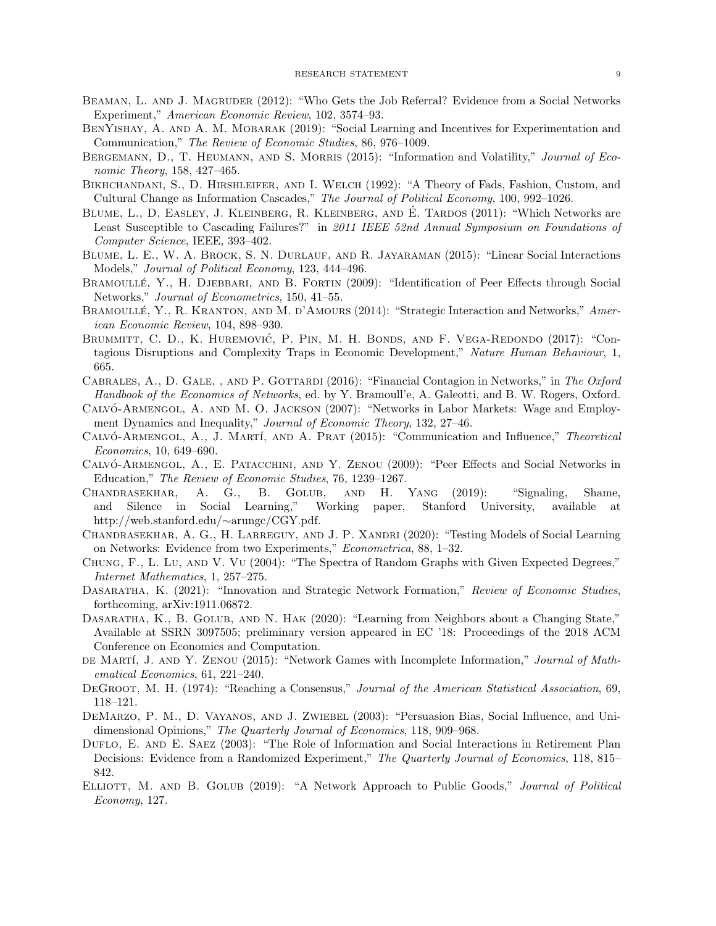- <span id="page-8-12"></span>BEAMAN, L. AND J. MAGRUDER (2012): "Who Gets the Job Referral? Evidence from a Social Networks Experiment," American Economic Review, 102, 3574–93.
- <span id="page-8-14"></span>BENYISHAY, A. AND A. M. MOBARAK (2019): "Social Learning and Incentives for Experimentation and Communication," The Review of Economic Studies, 86, 976–1009.
- <span id="page-8-4"></span>BERGEMANN, D., T. HEUMANN, AND S. MORRIS (2015): "Information and Volatility," *Journal of Eco*nomic Theory, 158, 427–465.
- <span id="page-8-8"></span>BIKHCHANDANI, S., D. HIRSHLEIFER, AND I. WELCH (1992): "A Theory of Fads, Fashion, Custom, and Cultural Change as Information Cascades," The Journal of Political Economy, 100, 992–1026.
- <span id="page-8-20"></span>BLUME, L., D. EASLEY, J. KLEINBERG, R. KLEINBERG, AND É. TARDOS (2011): "Which Networks are Least Susceptible to Cascading Failures?" in 2011 IEEE 52nd Annual Symposium on Foundations of Computer Science, IEEE, 393–402.
- <span id="page-8-1"></span>BLUME, L. E., W. A. BROCK, S. N. DURLAUF, AND R. JAYARAMAN (2015): "Linear Social Interactions Models," Journal of Political Economy, 123, 444–496.
- <span id="page-8-0"></span>BRAMOULLÉ, Y., H. DJEBBARI, AND B. FORTIN (2009): "Identification of Peer Effects through Social Networks," Journal of Econometrics, 150, 41–55.
- <span id="page-8-3"></span>BRAMOULLÉ, Y., R. KRANTON, AND M. D'AMOURS (2014): "Strategic Interaction and Networks," American Economic Review, 104, 898–930.
- <span id="page-8-21"></span>BRUMMITT, C. D., K. HUREMOVIĆ, P. PIN, M. H. BONDS, AND F. VEGA-REDONDO (2017): "Contagious Disruptions and Complexity Traps in Economic Development," Nature Human Behaviour, 1, 665.
- <span id="page-8-19"></span>CABRALES, A., D. GALE, , AND P. GOTTARDI (2016): "Financial Contagion in Networks," in The Oxford Handbook of the Economics of Networks, ed. by Y. Bramoull'e, A. Galeotti, and B. W. Rogers, Oxford.
- <span id="page-8-11"></span>CALVÓ-ARMENGOL, A. AND M. O. JACKSON (2007): "Networks in Labor Markets: Wage and Employment Dynamics and Inequality," Journal of Economic Theory, 132, 27–46.
- <span id="page-8-6"></span>CALVÓ-ARMENGOL, A., J. MARTÍ, AND A. PRAT (2015): "Communication and Influence," Theoretical Economics, 10, 649–690.
- <span id="page-8-2"></span>CALVO-ARMENGOL, A., E. PATACCHINI, AND Y. ZENOU (2009): "Peer Effects and Social Networks in Education," The Review of Economic Studies, 76, 1239–1267.
- <span id="page-8-18"></span>Chandrasekhar, A. G., B. Golub, and H. Yang (2019): "Signaling, Shame, and Silence in Social Learning," Working paper, Stanford University, available at http://web.stanford.edu/∼arungc/CGY.pdf.
- <span id="page-8-16"></span>CHANDRASEKHAR, A. G., H. LARREGUY, AND J. P. XANDRI (2020): "Testing Models of Social Learning on Networks: Evidence from two Experiments," Econometrica, 88, 1–32.
- <span id="page-8-15"></span>Chung, F., L. Lu, and V. Vu (2004): "The Spectra of Random Graphs with Given Expected Degrees," Internet Mathematics, 1, 257–275.
- <span id="page-8-22"></span>DASARATHA, K. (2021): "Innovation and Strategic Network Formation," Review of Economic Studies, forthcoming, arXiv:1911.06872.
- <span id="page-8-17"></span>DASARATHA, K., B. GOLUB, AND N. HAK (2020): "Learning from Neighbors about a Changing State," Available at SSRN 3097505; preliminary version appeared in EC '18: Proceedings of the 2018 ACM Conference on Economics and Computation.
- <span id="page-8-5"></span>DE MARTÍ, J. AND Y. ZENOU (2015): "Network Games with Incomplete Information," Journal of Mathematical Economics, 61, 221–240.
- <span id="page-8-9"></span>DEGROOT, M. H. (1974): "Reaching a Consensus," Journal of the American Statistical Association, 69, 118–121.
- <span id="page-8-10"></span>DEMARZO, P. M., D. VAYANOS, AND J. ZWIEBEL (2003): "Persuasion Bias, Social Influence, and Unidimensional Opinions," The Quarterly Journal of Economics, 118, 909–968.
- <span id="page-8-13"></span>DUFLO, E. AND E. SAEZ (2003): "The Role of Information and Social Interactions in Retirement Plan Decisions: Evidence from a Randomized Experiment," The Quarterly Journal of Economics, 118, 815– 842.
- <span id="page-8-7"></span>ELLIOTT, M. AND B. GOLUB (2019): "A Network Approach to Public Goods," *Journal of Political* Economy, 127.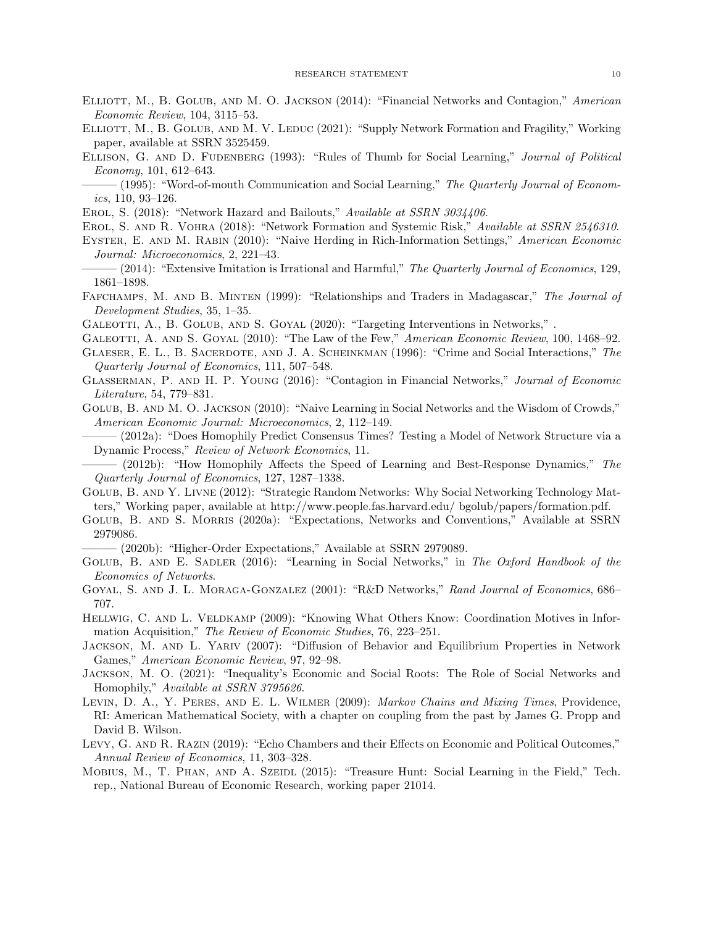- <span id="page-9-19"></span>ELLIOTT, M., B. GOLUB, AND M. O. JACKSON (2014): "Financial Networks and Contagion," American Economic Review, 104, 3115–53.
- <span id="page-9-20"></span>ELLIOTT, M., B. GOLUB, AND M. V. LEDUC (2021): "Supply Network Formation and Fragility," Working paper, available at SSRN 3525459.
- <span id="page-9-7"></span><span id="page-9-6"></span>ELLISON, G. AND D. FUDENBERG (1993): "Rules of Thumb for Social Learning," Journal of Political Economy, 101, 612–643.

 $(1995):$  "Word-of-mouth Communication and Social Learning," The Quarterly Journal of Economics, 110, 93–126.

<span id="page-9-23"></span>EROL, S. (2018): "Network Hazard and Bailouts," Available at SSRN 3034406.

<span id="page-9-24"></span><span id="page-9-8"></span>Erol, S. and R. Vohra (2018): "Network Formation and Systemic Risk," Available at SSRN 2546310.

Eyster, E. and M. Rabin (2010): "Naive Herding in Rich-Information Settings," American Economic Journal: Microeconomics, 2, 221–43.

<span id="page-9-9"></span> $-(2014)$ : "Extensive Imitation is Irrational and Harmful," The Quarterly Journal of Economics, 129, 1861–1898.

<span id="page-9-22"></span>FAFCHAMPS, M. AND B. MINTEN (1999): "Relationships and Traders in Madagascar," The Journal of Development Studies, 35, 1–35.

<span id="page-9-3"></span>GALEOTTI, A., B. GOLUB, AND S. GOYAL (2020): "Targeting Interventions in Networks,".

- <span id="page-9-18"></span>GALEOTTI, A. AND S. GOYAL (2010): "The Law of the Few," American Economic Review, 100, 1468–92.
- <span id="page-9-0"></span>Glaeser, E. L., B. Sacerdote, and J. A. Scheinkman (1996): "Crime and Social Interactions," The Quarterly Journal of Economics, 111, 507–548.
- <span id="page-9-21"></span>Glasserman, P. and H. P. Young (2016): "Contagion in Financial Networks," Journal of Economic Literature, 54, 779–831.

<span id="page-9-14"></span><span id="page-9-11"></span>Golub, B. and M. O. Jackson (2010): "Naive Learning in Social Networks and the Wisdom of Crowds," American Economic Journal: Microeconomics, 2, 112–149.

——— (2012a): "Does Homophily Predict Consensus Times? Testing a Model of Network Structure via a Dynamic Process," Review of Network Economics, 11.

<span id="page-9-12"></span> $(2012b)$ : "How Homophily Affects the Speed of Learning and Best-Response Dynamics," The Quarterly Journal of Economics, 127, 1287–1338.

- <span id="page-9-25"></span>Golub, B. and Y. Livne (2012): "Strategic Random Networks: Why Social Networking Technology Matters," Working paper, available at http://www.people.fas.harvard.edu/ bgolub/papers/formation.pdf.
- <span id="page-9-4"></span>GOLUB, B. AND S. MORRIS (2020a): "Expectations, Networks and Conventions," Available at SSRN 2979086.

 $(2020b)$ : "Higher-Order Expectations," Available at SSRN 2979089.

- <span id="page-9-16"></span><span id="page-9-5"></span>GOLUB, B. AND E. SADLER (2016): "Learning in Social Networks," in The Oxford Handbook of the Economics of Networks.
- <span id="page-9-1"></span>Goyal, S. and J. L. Moraga-Gonzalez (2001): "R&D Networks," Rand Journal of Economics, 686– 707.
- <span id="page-9-2"></span>HELLWIG, C. AND L. VELDKAMP (2009): "Knowing What Others Know: Coordination Motives in Information Acquisition," The Review of Economic Studies, 76, 223–251.
- <span id="page-9-26"></span>JACKSON, M. AND L. YARIV (2007): "Diffusion of Behavior and Equilibrium Properties in Network Games," American Economic Review, 97, 92–98.
- <span id="page-9-15"></span>Jackson, M. O. (2021): "Inequality's Economic and Social Roots: The Role of Social Networks and Homophily," Available at SSRN 3795626.
- <span id="page-9-13"></span>LEVIN, D. A., Y. PERES, AND E. L. WILMER (2009): *Markov Chains and Mixing Times*, Providence, RI: American Mathematical Society, with a chapter on coupling from the past by James G. Propp and David B. Wilson.
- <span id="page-9-10"></span>LEVY, G. AND R. RAZIN (2019): "Echo Chambers and their Effects on Economic and Political Outcomes," Annual Review of Economics, 11, 303–328.
- <span id="page-9-17"></span>MOBIUS, M., T. PHAN, AND A. SZEIDL (2015): "Treasure Hunt: Social Learning in the Field," Tech. rep., National Bureau of Economic Research, working paper 21014.